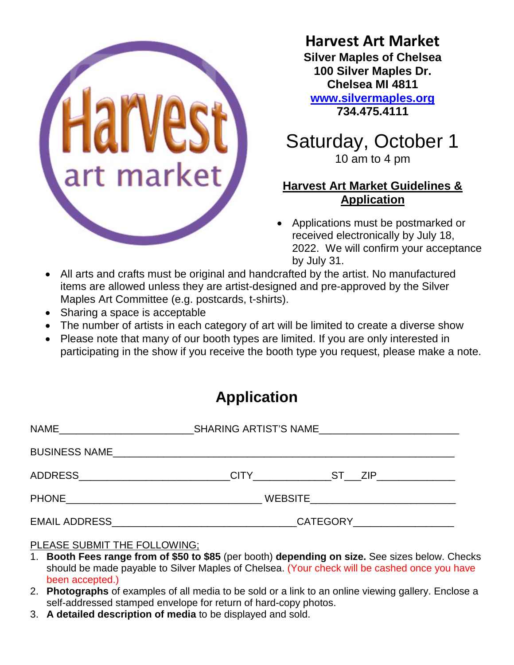

## **Harvest Art Market**

**Silver Maples of Chelsea 100 Silver Maples Dr. Chelsea MI 4811 [www.silvermaples.org](http://www.silvermaples.org/) 734.475.4111**

# Saturday, October 1 10 am to 4 pm

## **Harvest Art Market Guidelines & Application**

- Applications must be postmarked or received electronically by July 18, 2022. We will confirm your acceptance by July 31.
- All arts and crafts must be original and handcrafted by the artist. No manufactured items are allowed unless they are artist-designed and pre-approved by the Silver Maples Art Committee (e.g. postcards, t-shirts).
- Sharing a space is acceptable
- The number of artists in each category of art will be limited to create a diverse show
- Please note that many of our booth types are limited. If you are only interested in participating in the show if you receive the booth type you request, please make a note.

# **Application**

| ADDRESS__________________________ |                                        | CITY ST ZIP |  |  |  |  |
|-----------------------------------|----------------------------------------|-------------|--|--|--|--|
|                                   | WEBSITE_______________________________ |             |  |  |  |  |
|                                   | CATEGORY____________________           |             |  |  |  |  |

### PLEASE SUBMIT THE FOLLOWING;

- 1. **Booth Fees range from of \$50 to \$85** (per booth) **depending on size.** See sizes below. Checks should be made payable to Silver Maples of Chelsea. (Your check will be cashed once you have been accepted.)
- 2. **Photographs** of examples of all media to be sold or a link to an online viewing gallery. Enclose a self-addressed stamped envelope for return of hard-copy photos.
- 3. **A detailed description of media** to be displayed and sold.